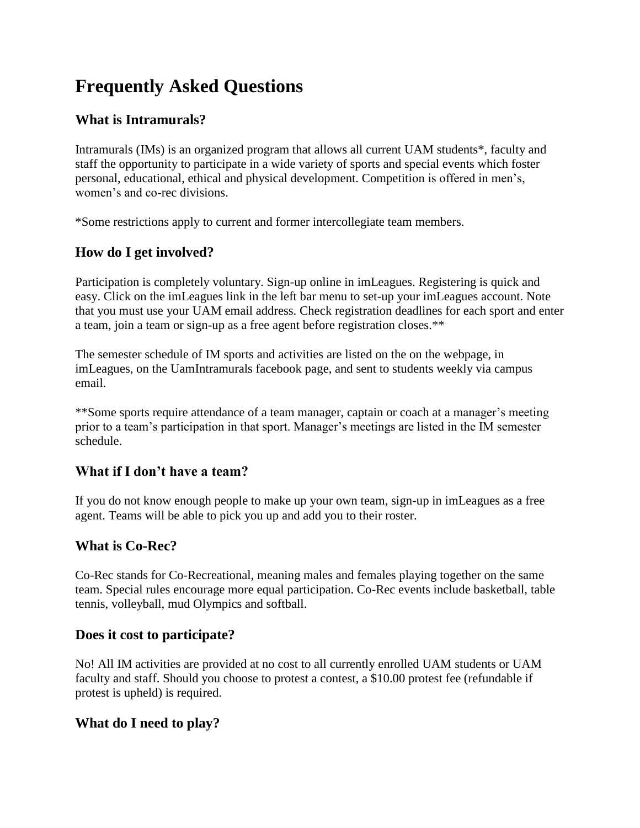# **Frequently Asked Questions**

## **What is Intramurals?**

Intramurals (IMs) is an organized program that allows all current UAM students\*, faculty and staff the opportunity to participate in a wide variety of sports and special events which foster personal, educational, ethical and physical development. Competition is offered in men's, women's and co-rec divisions.

\*Some restrictions apply to current and former intercollegiate team members.

## **How do I get involved?**

Participation is completely voluntary. Sign-up online in imLeagues. Registering is quick and easy. Click on the imLeagues link in the left bar menu to set-up your imLeagues account. Note that you must use your UAM email address. Check registration deadlines for each sport and enter a team, join a team or sign-up as a free agent before registration closes.\*\*

The semester schedule of IM sports and activities are listed on the on the webpage, in imLeagues, on the UamIntramurals facebook page, and sent to students weekly via campus email.

\*\*Some sports require attendance of a team manager, captain or coach at a manager's meeting prior to a team's participation in that sport. Manager's meetings are listed in the IM semester schedule.

#### **What if I don't have a team?**

If you do not know enough people to make up your own team, sign-up in imLeagues as a free agent. Teams will be able to pick you up and add you to their roster.

## **What is Co-Rec?**

Co-Rec stands for Co-Recreational, meaning males and females playing together on the same team. Special rules encourage more equal participation. Co-Rec events include basketball, table tennis, volleyball, mud Olympics and softball.

#### **Does it cost to participate?**

No! All IM activities are provided at no cost to all currently enrolled UAM students or UAM faculty and staff. Should you choose to protest a contest, a \$10.00 protest fee (refundable if protest is upheld) is required.

#### **What do I need to play?**